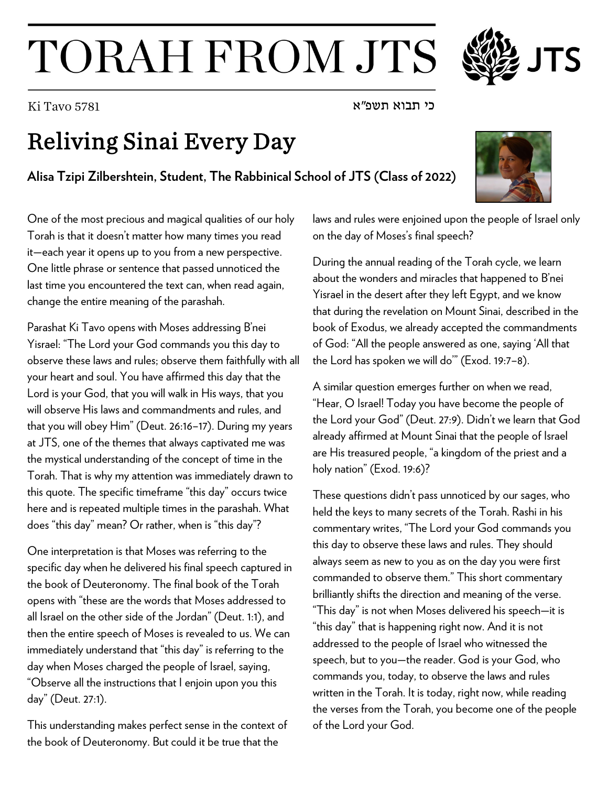## TORAH FROM JTS

## Reliving Sinai Every Day

**Alisa Tzipi Zilbershtein, Student, The Rabbinical School of JTS (Class of 2022)**

One of the most precious and magical qualities of our holy Torah is that it doesn't matter how many times you read it—each year it opens up to you from a new perspective. One little phrase or sentence that passed unnoticed the last time you encountered the text can, when read again, change the entire meaning of the parashah.

Parashat Ki Tavo opens with Moses addressing B'nei Yisrael: "The Lord your God commands you this day to observe these laws and rules; observe them faithfully with all your heart and soul. You have affirmed this day that the Lord is your God, that you will walk in His ways, that you will observe His laws and commandments and rules, and that you will obey Him" (Deut. 26:16–17). During my years at JTS, one of the themes that always captivated me was the mystical understanding of the concept of time in the Torah. That is why my attention was immediately drawn to this quote. The specific timeframe "this day" occurs twice here and is repeated multiple times in the parashah. What does "this day" mean? Or rather, when is "this day"?

One interpretation is that Moses was referring to the specific day when he delivered his final speech captured in the book of Deuteronomy. The final book of the Torah opens with "these are the words that Moses addressed to all Israel on the other side of the Jordan" (Deut. 1:1), and then the entire speech of Moses is revealed to us. We can immediately understand that "this day" is referring to the day when Moses charged the people of Israel, saying, "Observe all the instructions that I enjoin upon you this day" (Deut. 27:1).

This understanding makes perfect sense in the context of the book of Deuteronomy. But could it be true that the

laws and rules were enjoined upon the people of Israel only on the day of Moses's final speech?

During the annual reading of the Torah cycle, we learn about the wonders and miracles that happened to B'nei Yisrael in the desert after they left Egypt, and we know that during the revelation on Mount Sinai, described in the book of Exodus, we already accepted the commandments of God: "All the people answered as one, saying 'All that the Lord has spoken we will do'" (Exod. 19:7–8).

A similar question emerges further on when we read, "Hear, O Israel! Today you have become the people of the Lord your God" (Deut. 27:9). Didn't we learn that God already affirmed at Mount Sinai that the people of Israel are His treasured people, "a kingdom of the priest and a holy nation" (Exod. 19:6)?

These questions didn't pass unnoticed by our sages, who held the keys to many secrets of the Torah. Rashi in his commentary writes, "The Lord your God commands you this day to observe these laws and rules. They should always seem as new to you as on the day you were first commanded to observe them." This short commentary brilliantly shifts the direction and meaning of the verse. "This day" is not when Moses delivered his speech—it is "this day" that is happening right now. And it is not addressed to the people of Israel who witnessed the speech, but to you—the reader. God is your God, who commands you, today, to observe the laws and rules written in the Torah. It is today, right now, while reading the verses from the Torah, you become one of the people of the Lord your God.



כי תבוא תשפ"א 5781 Tavo Ki